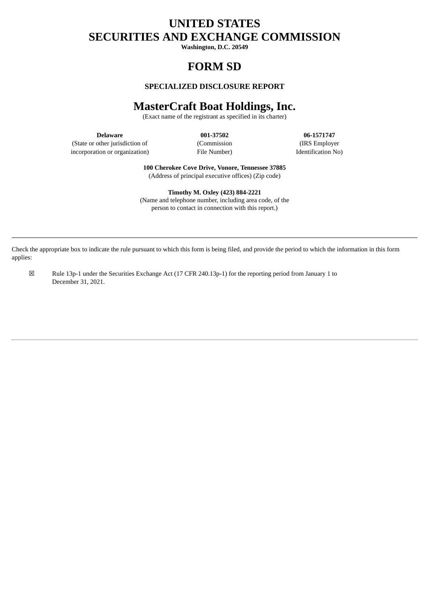# **UNITED STATES SECURITIES AND EXCHANGE COMMISSION**

**Washington, D.C. 20549**

# **FORM SD**

## **SPECIALIZED DISCLOSURE REPORT**

## **MasterCraft Boat Holdings, Inc.**

(Exact name of the registrant as specified in its charter)

(State or other jurisdiction of (Commission (IRS Employer incorporation or organization) File Number) Identification No)

**Delaware 001‑37502 06‑1571747**

**100 Cherokee Cove Drive, Vonore, Tennessee 37885** (Address of principal executive offices) (Zip code)

**Timothy M. Oxley (423) 884‑2221** (Name and telephone number, including area code, of the person to contact in connection with this report.)

Check the appropriate box to indicate the rule pursuant to which this form is being filed, and provide the period to which the information in this form applies:

☒ Rule 13p‑1 under the Securities Exchange Act (17 CFR 240.13p‑1) for the reporting period from January 1 to December 31, 2021.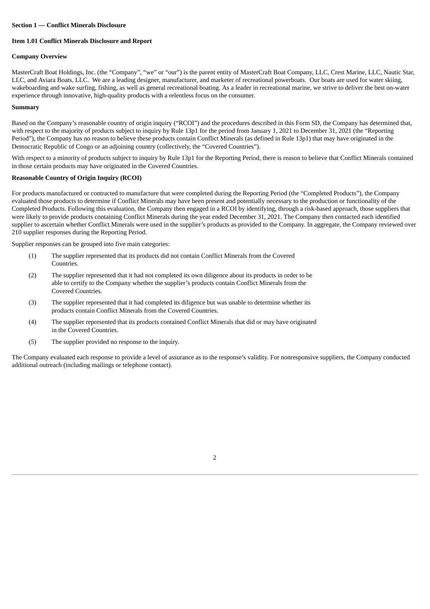#### **Section 1 — Conflict Minerals Disclosure**

#### **Item 1.01 Conflict Minerals Disclosure and Report**

#### **Company Overview**

MasterCraft Boat Holdings, Inc. (the "Company", "we" or "our") is the parent entity of MasterCraft Boat Company, LLC, Crest Marine, LLC, Nautic Star, LLC, and Aviara Boats, LLC. We are a leading designer, manufacturer, and marketer of recreational powerboats. Our boats are used for water skiing, wakeboarding and wake surfing, fishing, as well as general recreational boating. As a leader in recreational marine, we strive to deliver the best on-water experience through innovative, high-quality products with a relentless focus on the consumer.

#### **Summary**

Based on the Company's reasonable country of origin inquiry ("RCOI") and the procedures described in this Form SD, the Company has determined that, with respect to the majority of products subject to inquiry by Rule 13p1 for the period from January 1, 2021 to December 31, 2021 (the "Reporting Period"), the Company has no reason to believe these products contain Conflict Minerals (as defined in Rule 13p1) that may have originated in the Democratic Republic of Congo or an adjoining country (collectively, the "Covered Countries").

With respect to a minority of products subject to inquiry by Rule 13p1 for the Reporting Period, there is reason to believe that Conflict Minerals contained in those certain products may have originated in the Covered Countries.

#### **Reasonable Country of Origin Inquiry (RCOI)**

For products manufactured or contracted to manufacture that were completed during the Reporting Period (the "Completed Products"), the Company evaluated those products to determine if Conflict Minerals may have been present and potentially necessary to the production or functionality of the Completed Products. Following this evaluation, the Company then engaged in a RCOI by identifying, through a risk-based approach, those suppliers that were likely to provide products containing Conflict Minerals during the year ended December 31, 2021. The Company then contacted each identified supplier to ascertain whether Conflict Minerals were used in the supplier's products as provided to the Company. In aggregate, the Company reviewed over 210 supplier responses during the Reporting Period.

Supplier responses can be grouped into five main categories:

- (1) The supplier represented that its products did not contain Conflict Minerals from the Covered Countries.
- (2) The supplier represented that it had not completed its own diligence about its products in order to be able to certify to the Company whether the supplier's products contain Conflict Minerals from the Covered Countries.
- (3) The supplier represented that it had completed its diligence but was unable to determine whether its products contain Conflict Minerals from the Covered Countries.
- (4) The supplier represented that its products contained Conflict Minerals that did or may have originated in the Covered Countries.
- (5) The supplier provided no response to the inquiry.

The Company evaluated each response to provide a level of assurance as to the response's validity. For nonresponsive suppliers, the Company conducted additional outreach (including mailings or telephone contact).

2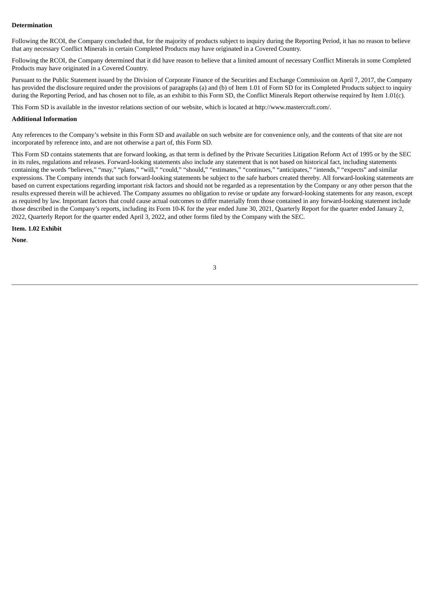#### **Determination**

Following the RCOI, the Company concluded that, for the majority of products subject to inquiry during the Reporting Period, it has no reason to believe that any necessary Conflict Minerals in certain Completed Products may have originated in a Covered Country.

Following the RCOI, the Company determined that it did have reason to believe that a limited amount of necessary Conflict Minerals in some Completed Products may have originated in a Covered Country.

Pursuant to the Public Statement issued by the Division of Corporate Finance of the Securities and Exchange Commission on April 7, 2017, the Company has provided the disclosure required under the provisions of paragraphs (a) and (b) of Item 1.01 of Form SD for its Completed Products subject to inquiry during the Reporting Period, and has chosen not to file, as an exhibit to this Form SD, the Conflict Minerals Report otherwise required by Item 1.01(c).

This Form SD is available in the investor relations section of our website, which is located at http://www.mastercraft.com/.

#### **Additional Information**

Any references to the Company's website in this Form SD and available on such website are for convenience only, and the contents of that site are not incorporated by reference into, and are not otherwise a part of, this Form SD.

This Form SD contains statements that are forward looking, as that term is defined by the Private Securities Litigation Reform Act of 1995 or by the SEC in its rules, regulations and releases. Forward-looking statements also include any statement that is not based on historical fact, including statements containing the words "believes," "may," "plans," "will," "could," "should," "estimates," "continues," "anticipates," "intends," "expects" and similar expressions. The Company intends that such forward-looking statements be subject to the safe harbors created thereby. All forward-looking statements are based on current expectations regarding important risk factors and should not be regarded as a representation by the Company or any other person that the results expressed therein will be achieved. The Company assumes no obligation to revise or update any forward-looking statements for any reason, except as required by law. Important factors that could cause actual outcomes to differ materially from those contained in any forward-looking statement include those described in the Company's reports, including its Form 10-K for the year ended June 30, 2021, Quarterly Report for the quarter ended January 2, 2022, Quarterly Report for the quarter ended April 3, 2022, and other forms filed by the Company with the SEC.

**Item. 1.02 Exhibit**

**None**.

### 3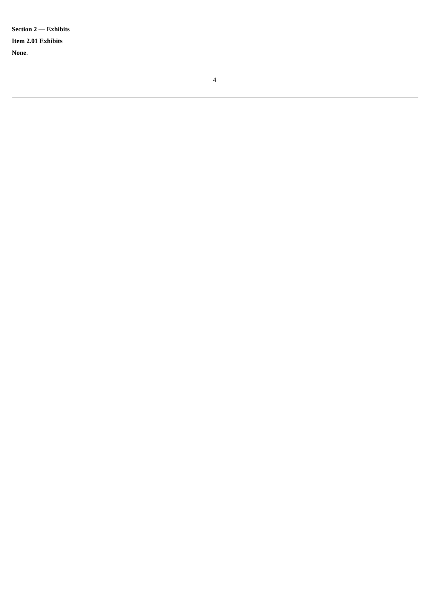Section 2 — Exhibits Item 2.01 Exhibits None.